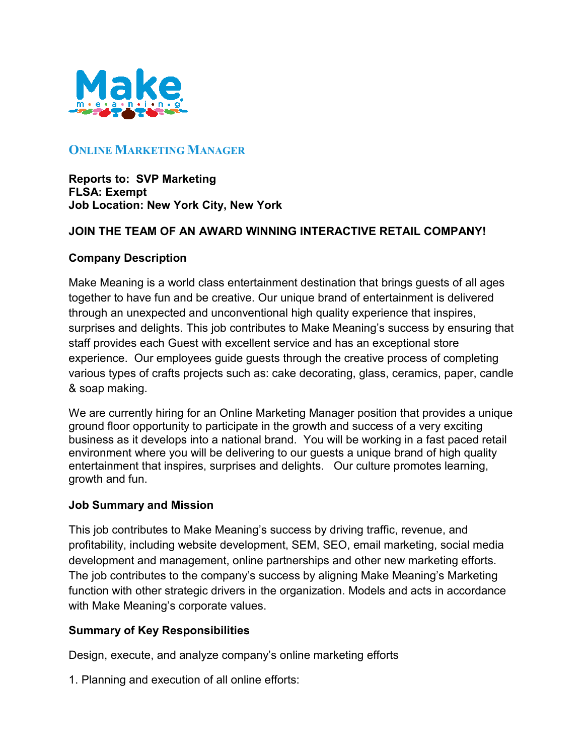

# **ONLINE MARKETING MANAGER**

**Reports to: SVP Marketing FLSA: Exempt Job Location: New York City, New York**

### **JOIN THE TEAM OF AN AWARD WINNING INTERACTIVE RETAIL COMPANY!**

### **Company Description**

Make Meaning is a world class entertainment destination that brings guests of all ages together to have fun and be creative. Our unique brand of entertainment is delivered through an unexpected and unconventional high quality experience that inspires, surprises and delights. This job contributes to Make Meaning's success by ensuring that staff provides each Guest with excellent service and has an exceptional store experience. Our employees guide guests through the creative process of completing various types of crafts projects such as: cake decorating, glass, ceramics, paper, candle & soap making.

We are currently hiring for an Online Marketing Manager position that provides a unique ground floor opportunity to participate in the growth and success of a very exciting business as it develops into a national brand. You will be working in a fast paced retail environment where you will be delivering to our guests a unique brand of high quality entertainment that inspires, surprises and delights. Our culture promotes learning, growth and fun.

### **Job Summary and Mission**

This job contributes to Make Meaning's success by driving traffic, revenue, and profitability, including website development, SEM, SEO, email marketing, social media development and management, online partnerships and other new marketing efforts. The job contributes to the company's success by aligning Make Meaning's Marketing function with other strategic drivers in the organization. Models and acts in accordance with Make Meaning's corporate values.

### **Summary of Key Responsibilities**

Design, execute, and analyze company's online marketing efforts

1. Planning and execution of all online efforts: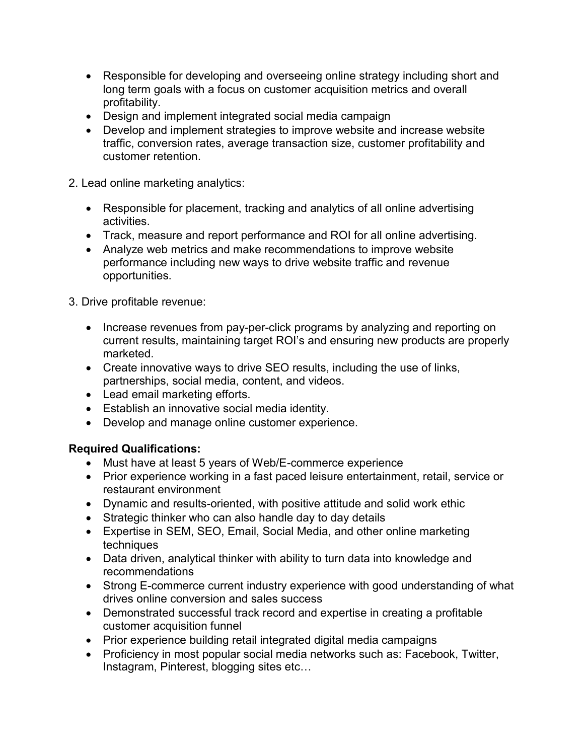- Responsible for developing and overseeing online strategy including short and long term goals with a focus on customer acquisition metrics and overall profitability.
- Design and implement integrated social media campaign
- Develop and implement strategies to improve website and increase website traffic, conversion rates, average transaction size, customer profitability and customer retention.

2. Lead online marketing analytics:

- Responsible for placement, tracking and analytics of all online advertising activities.
- Track, measure and report performance and ROI for all online advertising.
- Analyze web metrics and make recommendations to improve website performance including new ways to drive website traffic and revenue opportunities.
- 3. Drive profitable revenue:
	- Increase revenues from pay-per-click programs by analyzing and reporting on current results, maintaining target ROI's and ensuring new products are properly marketed.
	- Create innovative ways to drive SEO results, including the use of links, partnerships, social media, content, and videos.
	- Lead email marketing efforts.
	- Establish an innovative social media identity.
	- Develop and manage online customer experience.

## **Required Qualifications:**

- Must have at least 5 years of Web/E-commerce experience
- Prior experience working in a fast paced leisure entertainment, retail, service or restaurant environment
- Dynamic and results-oriented, with positive attitude and solid work ethic
- Strategic thinker who can also handle day to day details
- Expertise in SEM, SEO, Email, Social Media, and other online marketing techniques
- Data driven, analytical thinker with ability to turn data into knowledge and recommendations
- Strong E-commerce current industry experience with good understanding of what drives online conversion and sales success
- Demonstrated successful track record and expertise in creating a profitable customer acquisition funnel
- Prior experience building retail integrated digital media campaigns
- Proficiency in most popular social media networks such as: Facebook, Twitter, Instagram, Pinterest, blogging sites etc…